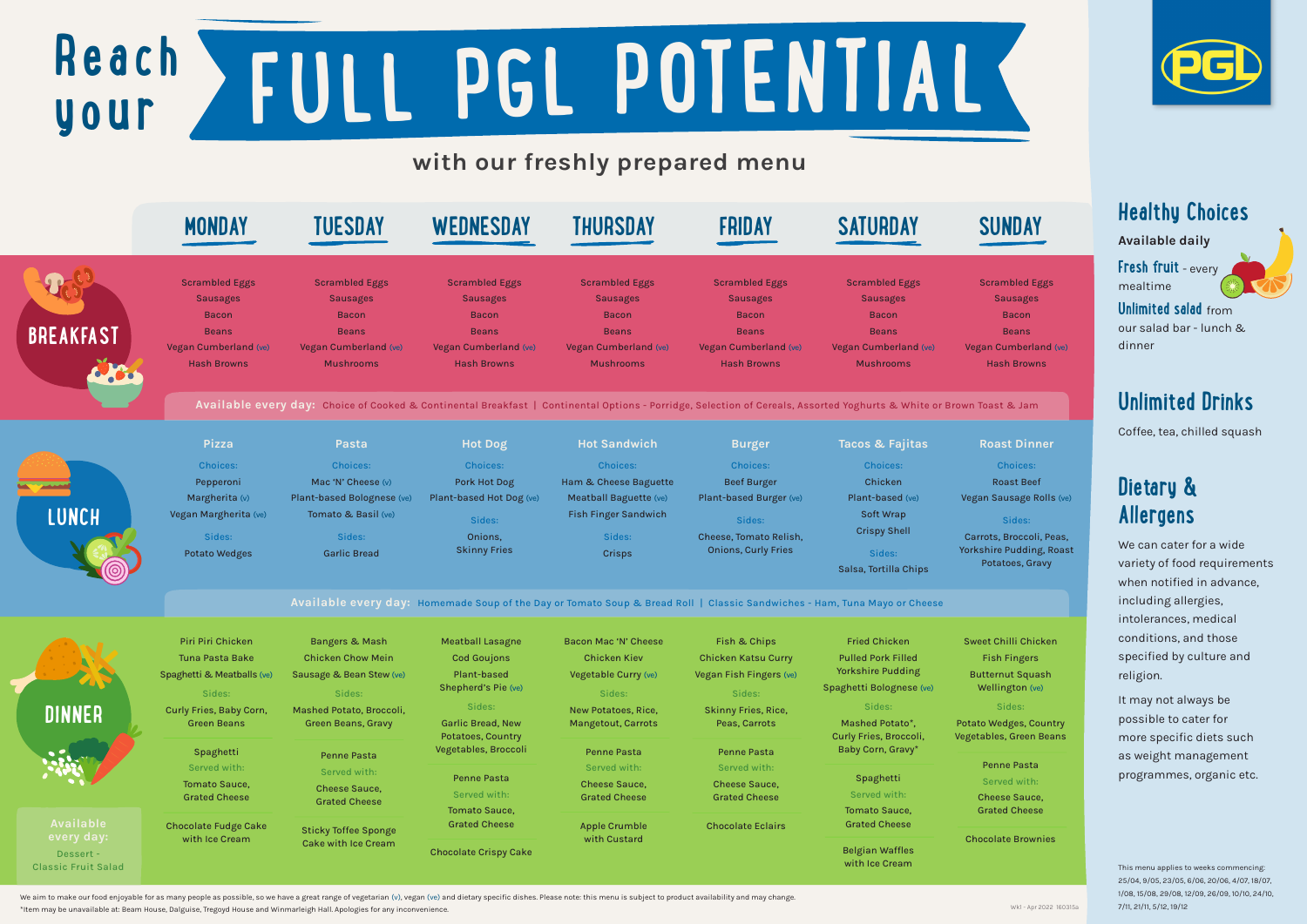## **Healthy Choices**

### Available daily

**Fresh fruit** - every mealtime

### **Unlimited salad** from

our salad bar - lunch & dinner

## **Unlimited Drinks**

Coffee, tea, chilled squash

## **Dietary & Allergens**

We can cater for a wide variety of food requirements when notified in advance, including allergies, intolerances, medical conditions, and those specified by culture and religion.

It may not always be possible to cater for more specific diets such as weight management programmes, organic etc.

# **Reach your FULL PGL POTENTIAL**

# with our freshly prepared menu

### Penne Pasta **I**rved with:

- eese Sauce, ated Cheese
- olate Brownies



- Choices:
- Roast Beef Sausage Rolls (ve)

### Sides:

Wedges, Country vles, Green Beans

| <u>HIGA OMBREIL</u><br>$\sigma$ wee                            |
|----------------------------------------------------------------|
| <b>Pulled Pork Filled</b>                                      |
| <b>Yorkshire Pudding</b><br><b>Butt</b>                        |
| Spaghetti Bolognese (ve)<br>We                                 |
|                                                                |
| Mashed Potato*,<br>Potato<br>Curly Fries, Broccoli,<br>Vegetak |
| Baby Corn, Gravy*                                              |
| P.                                                             |
|                                                                |
| Served with:<br>Ch                                             |
| <b>Tomato Sauce,</b><br>Gra                                    |
| <b>Grated Cheese</b>                                           |
| Choc<br><b>Belgian Waffles</b><br>with Ice Cream               |
| Spaghetti                                                      |

We aim to make our food enjoyable for as many people as possible, so we have a great range of vegetarian (v), vegan (ve) and dietary specific dishes. Please note: this menu is subject to product availability and may change \*Item may be unavailable at: Beam House, Dalguise, Tregoyd House and Winmarleigh Hall. Apologies for any inconvenience.





ambled Eggs Sausages Bacon Beans Cumberland (ve) ash Browns

### ast Dinner

|                  | <b>MONDAY</b>                                                                                                                  | <b>TUESDAY</b>                                                                                                                                                                       | WEDNESDAY                                                                                                               | <b>THURSDAY</b>                                                                                                                            | <b>FRIDAY</b>                                                                                                           | <b>SATURDAY</b>                                                                                                              | <b>SUNDAY</b>                                                                                                 |
|------------------|--------------------------------------------------------------------------------------------------------------------------------|--------------------------------------------------------------------------------------------------------------------------------------------------------------------------------------|-------------------------------------------------------------------------------------------------------------------------|--------------------------------------------------------------------------------------------------------------------------------------------|-------------------------------------------------------------------------------------------------------------------------|------------------------------------------------------------------------------------------------------------------------------|---------------------------------------------------------------------------------------------------------------|
| <b>BREAKFAST</b> | <b>Scrambled Eggs</b><br><b>Sausages</b><br><b>Bacon</b><br><b>Beans</b><br><b>Vegan Cumberland (ve)</b><br><b>Hash Browns</b> | <b>Scrambled Eggs</b><br><b>Sausages</b><br><b>Bacon</b><br><b>Beans</b><br>Vegan Cumberland (ve)<br><b>Mushrooms</b>                                                                | <b>Scrambled Eggs</b><br><b>Sausages</b><br><b>Bacon</b><br><b>Beans</b><br>Vegan Cumberland (ve)<br><b>Hash Browns</b> | <b>Scrambled Eggs</b><br><b>Sausages</b><br><b>Bacon</b><br><b>Beans</b><br><b>Vegan Cumberland (ve)</b><br><b>Mushrooms</b>               | <b>Scrambled Eggs</b><br><b>Sausages</b><br><b>Bacon</b><br><b>Beans</b><br>Vegan Cumberland (ve)<br><b>Hash Browns</b> | <b>Scrambled Eggs</b><br><b>Sausages</b><br><b>Bacon</b><br><b>Beans</b><br><b>Vegan Cumberland (ve)</b><br><b>Mushrooms</b> | <b>Scrambled Eg</b><br><b>Sausages</b><br><b>Bacon</b><br><b>Beans</b><br>Vegan Cumberla<br><b>Hash Brown</b> |
|                  | <b>Pizza</b>                                                                                                                   | Available every day: Choice of Cooked & Continental Breakfast   Continental Options - Porridge, Selection of Cereals, Assorted Yoghurts & White or Brown Toast & Jam<br><b>Pasta</b> | <b>Hot Dog</b>                                                                                                          | <b>Hot Sandwich</b>                                                                                                                        | <b>Burger</b>                                                                                                           | Tacos & Fajitas                                                                                                              | <b>Roast Dinn</b>                                                                                             |
| LUNCH            | <b>Choices:</b><br>Pepperoni<br>Margherita (v)<br>Vegan Margherita (ve)<br>Sides:                                              | <b>Choices:</b><br>Mac 'N' Cheese (v)<br>Plant-based Bolognese (ve)<br>Tomato & Basil (ve)<br>Sides:                                                                                 | <b>Choices:</b><br>Pork Hot Dog<br>Plant-based Hot Dog (ve)<br>Sides:<br>Onions,                                        | <b>Choices:</b><br>Ham & Cheese Baguette<br>Meatball Baguette (ve)<br><b>Fish Finger Sandwich</b><br>Sides:                                | <b>Choices:</b><br><b>Beef Burger</b><br>Plant-based Burger (ve)<br>Sides:<br>Cheese, Tomato Relish,                    | <b>Choices:</b><br>Chicken<br>Plant-based (ve)<br><b>Soft Wrap</b><br><b>Crispy Shell</b>                                    | <b>Choices:</b><br><b>Roast Beef</b><br>Vegan Sausage Ro<br>Sides:<br>Carrots, Broccoli,                      |
|                  | <b>Potato Wedges</b>                                                                                                           | <b>Garlic Bread</b>                                                                                                                                                                  | <b>Skinny Fries</b>                                                                                                     | <b>Crisps</b><br>Available every day: Homemade Soup of the Day or Tomato Soup & Bread Roll   Classic Sandwiches - Ham, Tuna Mayo or Cheese | <b>Onions, Curly Fries</b>                                                                                              | Sides:<br>Salsa, Tortilla Chips                                                                                              | <b>Yorkshire Pudding</b><br>Potatoes, Gra                                                                     |
|                  | Piri Piri Chicken                                                                                                              | <b>Bangers &amp; Mash</b>                                                                                                                                                            | <b>Meatball Lasagne</b>                                                                                                 | <b>Bacon Mac 'N' Cheese</b>                                                                                                                | Fish & Chips                                                                                                            | <b>Fried Chicken</b>                                                                                                         | <b>Sweet Chilli Chic</b>                                                                                      |

### Sides:

s, Broccoli, Peas, ire Pudding, Roast tatoes, Gravy

### Chilli Chicken ish Fingers ernut Squash ellington (ve)

This menu applies to weeks commencing: 25/04, 9/05, 23/05, 6/06, 20/06, 4/07, 18/07, 1/08, 15/08, 29/08, 12/09, 26/09, 10/10, 24/10, 7/11, 21/11, 5/12, 19/12